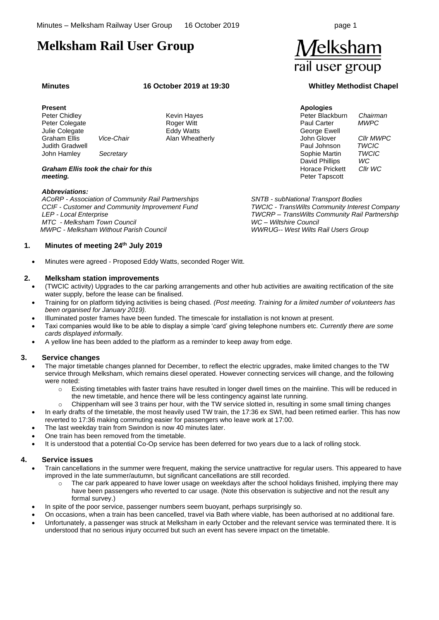# **Melksham Rail User Group**

#### **Minutes 16 October 2019 at 19:30 Whitley Methodist Chapel**

#### **Present**

 Peter Chidley Peter Colegate Julie Colegate Graham Ellis *Vice-Chair* Judith Gradwell John Hamley *Secretary*

Kevin Hayes Roger Witt Eddy Watts Alan Wheatherly

#### *Graham Ellis took the chair for this meeting.*

#### *Abbreviations:*

*ACoRP - Association of Community Rail Partnerships CCIF - Customer and Community Improvement Fund LEP - Local Enterprise MTC - Melksham Town Council MWPC - Melksham Without Parish Council*

#### **1. Minutes of meeting 24 th July 2019**

• Minutes were agreed - Proposed Eddy Watts, seconded Roger Witt.

#### <span id="page-0-0"></span>**2. Melksham station improvements**

- (TWCIC activity) Upgrades to the car parking arrangements and other hub activities are awaiting rectification of the site water supply, before the lease can be finalised.
- Training for on platform tidying activities is being chased. *(Post meeting. Training for a limited number of volunteers has been organised for January 2019).*
- Illuminated poster frames have been funded. The timescale for installation is not known at present.
- Taxi companies would like to be able to display a simple 'card' giving telephone numbers etc. *Currently there are some cards displayed informally.*
- A yellow line has been added to the platform as a reminder to keep away from edge*.*

#### **3. Service changes**

- The major timetable changes planned for December, to reflect the electric upgrades, make limited changes to the TW service through Melksham, which remains diesel operated. However connecting services will change, and the following were noted:
	- o Existing timetables with faster trains have resulted in longer dwell times on the mainline. This will be reduced in the new timetable, and hence there will be less contingency against late running.
	- $\circ$  Chippenham will see 3 trains per hour, with the TW service slotted in, resulting in some small timing changes
- In early drafts of the timetable, the most heavily used TW train, the 17:36 ex SWI, had been retimed earlier. This has now reverted to 17:36 making commuting easier for passengers who leave work at 17:00.
- The last weekday train from Swindon is now 40 minutes later.
- One train has been removed from the timetable.
- It is understood that a potential Co-Op service has been deferred for two years due to a lack of rolling stock.

#### **4. Service issues**

- Train cancellations in the summer were frequent, making the service unattractive for regular users. This appeared to have improved in the late summer/autumn, but significant cancellations are still recorded.
	- The car park appeared to have lower usage on weekdays after the school holidays finished, implying there may have been passengers who reverted to car usage. (Note this observation is subjective and not the result any formal survey.)
- In spite of the poor service, passenger numbers seem buoyant, perhaps surprisingly so.
- On occasions, when a train has been cancelled, travel via Bath where viable, has been authorised at no additional fare.
- Unfortunately, a passenger was struck at Melksham in early October and the relevant service was terminated there. It is understood that no serious injury occurred but such an event has severe impact on the timetable.



**Apologies** Peter Blackburn *Chairman*  Paul Carter *MWPC* George Ewell John Glover *Cllr MWPC* Paul Johnson *TWCIC* Sophie Martin *TWCIC* David Phillips *WC*<br>Horace Prickett *Cllr WC* **Horace Prickett** Peter Tapscott

*SNTB - subNational Transport Bodies TWCIC - TransWilts Community Interest Company TWCRP – TransWilts Community Rail Partnership WC – Wiltshire Council WWRUG-- West Wilts Rail Users Group*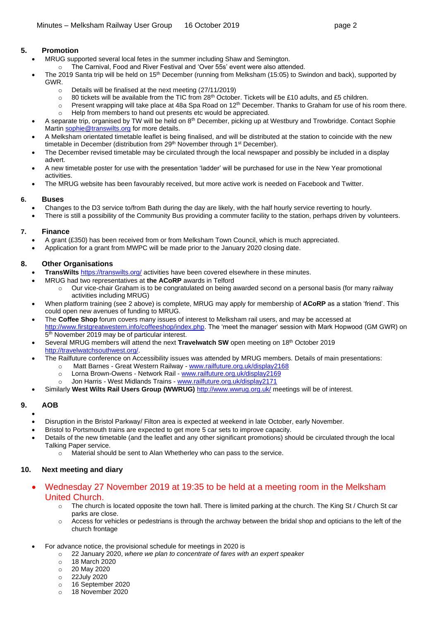# **5. Promotion**

- MRUG supported several local fetes in the summer including Shaw and Semington.
	- o The Carnival, Food and River Festival and 'Over 55s' event were also attended.
- The 2019 Santa trip will be held on  $15<sup>th</sup>$  December (running from Melksham (15:05) to Swindon and back), supported by GWR.
	- o Details will be finalised at the next meeting (27/11/2019)
	- $\circ$  80 tickets will be available from the TIC from 28<sup>th</sup> October. Tickets will be £10 adults, and £5 children.
	- $\circ$  Present wrapping will take place at 48a Spa Road on 12<sup>th</sup> December. Thanks to Graham for use of his room there.
	- o Help from members to hand out presents etc would be appreciated.
- A separate trip, organised by TW will be held on 8<sup>th</sup> December, picking up at Westbury and Trowbridge. Contact Sophie Marti[n sophie@transwilts.org](mailto:sophie@transwilts.org) for more details.
- A Melksham orientated timetable leaflet is being finalised, and will be distributed at the station to coincide with the new timetable in December (distribution from 29<sup>th</sup> November through 1<sup>st</sup> December).
- The December revised timetable may be circulated through the local newspaper and possibly be included in a display advert.
- A new timetable poster for use with the presentation 'ladder' will be purchased for use in the New Year promotional activities.
- The MRUG website has been favourably received, but more active work is needed on Facebook and Twitter.

# **6. Buses**

- Changes to the D3 service to/from Bath during the day are likely, with the half hourly service reverting to hourly.
- There is still a possibility of the Community Bus providing a commuter facility to the station, perhaps driven by volunteers.

# **7. Finance**

- A grant (£350) has been received from or from Melksham Town Council, which is much appreciated.
- Application for a grant from MWPC will be made prior to the January 2020 closing date.

# **8. Other Organisations**

- **TransWilts** <https://transwilts.org/> activities have been covered elsewhere in these minutes.
	- MRUG had two representatives at **the ACoRP** awards in Telford
		- o Our vice-chair Graham is to be congratulated on being awarded second on a personal basis (for many railway activities including MRUG)
- When platform training (see [2](#page-0-0) above) is complete, MRUG may apply for membership of **ACoRP** as a station 'friend'. This could open new avenues of funding to MRUG.
- The **Coffee Shop** forum covers many issues of interest to Melksham rail users, and may be accessed at [http://www.firstgreatwestern.info/coffeeshop/index.php.](http://www.firstgreatwestern.info/coffeeshop/index.php) The 'meet the manager' session with Mark Hopwood (GM GWR) on 5<sup>th</sup> November 2019 may be of particular interest.
- Several MRUG members will attend the next **Travelwatch SW** open meeting on 18th October 2019 [http://travelwatchsouthwest.org/.](http://travelwatchsouthwest.org/)
	- The Railfuture conference on Accessibility issues was attended by MRUG members. Details of main presentations:
		- o Matt Barnes Great Western Railway [www.railfuture.org.uk/display2168](https://www.railfuture.org.uk/display2168)
		- o Lorna Brown-Owens Network Rail [www.railfuture.org.uk/display2169](https://www.railfuture.org.uk/display2169)
		- Jon Harris West Midlands Trains [www.railfuture.org.uk/display2171](https://www.railfuture.org.uk/display2171)
- Similarly West Wilts Rail Users Group (WWRUG) <http://www.wwrug.org.uk/> meetings will be of interest.

# **9. AOB**

- - Disruption in the Bristol Parkway/ Filton area is expected at weekend in late October, early November.
	- Bristol to Portsmouth trains are expected to get more 5 car sets to improve capacity.
- Details of the new timetable (and the leaflet and any other significant promotions) should be circulated through the local Talking Paper service.
	- o Material should be sent to Alan Whetherley who can pass to the service.

# **10. Next meeting and diary**

- Wednesday 27 November 2019 at 19:35 to be held at a meeting room in the Melksham United Church.
	- $\circ$  The church is located opposite the town hall. There is limited parking at the church. The King St / Church St car parks are close.
	- o Access for vehicles or pedestrians is through the archway between the bridal shop and opticians to the left of the church frontage
- For advance notice, the provisional schedule for meetings in 2020 is
	- o 22 January 2020, *where we plan to concentrate of fares with an expert speaker*
	- o 18 March 2020
	- o 20 May 2020
	- o 22July 2020
	- o 16 September 2020
	- o 18 November 2020